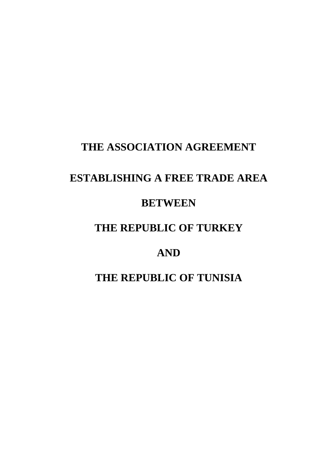## **THE ASSOCIATION AGREEMENT**

# **ESTABLISHING A FREE TRADE AREA**

## **BETWEEN**

## **THE REPUBLIC OF TURKEY**

# **AND**

# **THE REPUBLIC OF TUNISIA**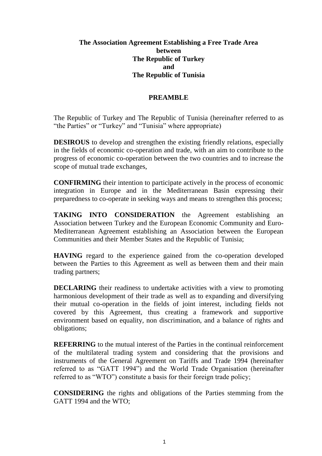## **The Association Agreement Establishing a Free Trade Area between The Republic of Turkey and The Republic of Tunisia**

## **PREAMBLE**

The Republic of Turkey and The Republic of Tunisia (hereinafter referred to as "the Parties" or "Turkey" and "Tunisia" where appropriate)

**DESIROUS** to develop and strengthen the existing friendly relations, especially in the fields of economic co-operation and trade, with an aim to contribute to the progress of economic co-operation between the two countries and to increase the scope of mutual trade exchanges,

**CONFIRMING** their intention to participate actively in the process of economic integration in Europe and in the Mediterranean Basin expressing their preparedness to co-operate in seeking ways and means to strengthen this process;

**TAKING INTO CONSIDERATION** the Agreement establishing an Association between Turkey and the European Economic Community and Euro-Mediterranean Agreement establishing an Association between the European Communities and their Member States and the Republic of Tunisia;

**HAVING** regard to the experience gained from the co-operation developed between the Parties to this Agreement as well as between them and their main trading partners;

**DECLARING** their readiness to undertake activities with a view to promoting harmonious development of their trade as well as to expanding and diversifying their mutual co-operation in the fields of joint interest, including fields not covered by this Agreement, thus creating a framework and supportive environment based on equality, non discrimination, and a balance of rights and obligations;

**REFERRING** to the mutual interest of the Parties in the continual reinforcement of the multilateral trading system and considering that the provisions and instruments of the General Agreement on Tariffs and Trade 1994 (hereinafter referred to as "GATT 1994") and the World Trade Organisation (hereinafter referred to as "WTO") constitute a basis for their foreign trade policy;

**CONSIDERING** the rights and obligations of the Parties stemming from the GATT 1994 and the WTO;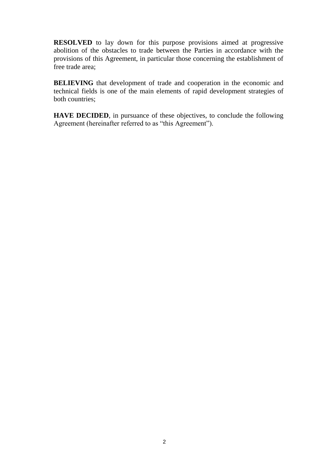**RESOLVED** to lay down for this purpose provisions aimed at progressive abolition of the obstacles to trade between the Parties in accordance with the provisions of this Agreement, in particular those concerning the establishment of free trade area;

**BELIEVING** that development of trade and cooperation in the economic and technical fields is one of the main elements of rapid development strategies of both countries;

**HAVE DECIDED**, in pursuance of these objectives, to conclude the following Agreement (hereinafter referred to as "this Agreement").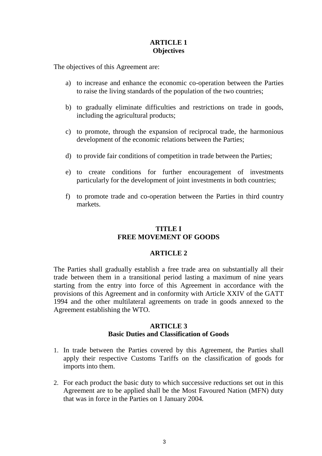## **ARTICLE 1 Objectives**

The objectives of this Agreement are:

- a) to increase and enhance the economic co-operation between the Parties to raise the living standards of the population of the two countries;
- b) to gradually eliminate difficulties and restrictions on trade in goods, including the agricultural products;
- c) to promote, through the expansion of reciprocal trade, the harmonious development of the economic relations between the Parties;
- d) to provide fair conditions of competition in trade between the Parties;
- e) to create conditions for further encouragement of investments particularly for the development of joint investments in both countries;
- f) to promote trade and co-operation between the Parties in third country markets.

## **TITLE I FREE MOVEMENT OF GOODS**

#### **ARTICLE 2**

The Parties shall gradually establish a free trade area on substantially all their trade between them in a transitional period lasting a maximum of nine years starting from the entry into force of this Agreement in accordance with the provisions of this Agreement and in conformity with Article XXIV of the GATT 1994 and the other multilateral agreements on trade in goods annexed to the Agreement establishing the WTO.

#### **ARTICLE 3 Basic Duties and Classification of Goods**

- 1. In trade between the Parties covered by this Agreement, the Parties shall apply their respective Customs Tariffs on the classification of goods for imports into them.
- 2. For each product the basic duty to which successive reductions set out in this Agreement are to be applied shall be the Most Favoured Nation (MFN) duty that was in force in the Parties on 1 January 2004*.*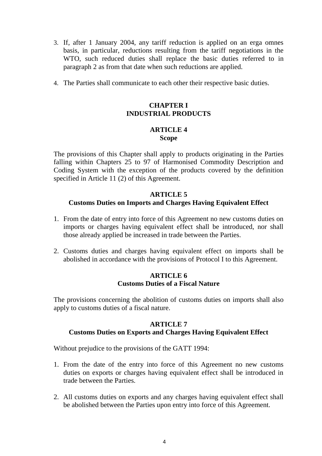- 3. If, after 1 January 2004, any tariff reduction is applied on an erga omnes basis, in particular, reductions resulting from the tariff negotiations in the WTO, such reduced duties shall replace the basic duties referred to in paragraph 2 as from that date when such reductions are applied.
- 4. The Parties shall communicate to each other their respective basic duties.

## **CHAPTER I INDUSTRIAL PRODUCTS**

#### **ARTICLE 4 Scope**

The provisions of this Chapter shall apply to products originating in the Parties falling within Chapters 25 to 97 of Harmonised Commodity Description and Coding System with the exception of the products covered by the definition specified in Article 11 (2) of this Agreement.

#### **ARTICLE 5 Customs Duties on Imports and Charges Having Equivalent Effect**

- 1. From the date of entry into force of this Agreement no new customs duties on imports or charges having equivalent effect shall be introduced, nor shall those already applied be increased in trade between the Parties.
- 2. Customs duties and charges having equivalent effect on imports shall be abolished in accordance with the provisions of Protocol I to this Agreement.

#### **ARTICLE 6 Customs Duties of a Fiscal Nature**

The provisions concerning the abolition of customs duties on imports shall also apply to customs duties of a fiscal nature.

## **ARTICLE 7 Customs Duties on Exports and Charges Having Equivalent Effect**

Without prejudice to the provisions of the GATT 1994:

- 1. From the date of the entry into force of this Agreement no new customs duties on exports or charges having equivalent effect shall be introduced in trade between the Parties.
- 2. All customs duties on exports and any charges having equivalent effect shall be abolished between the Parties upon entry into force of this Agreement.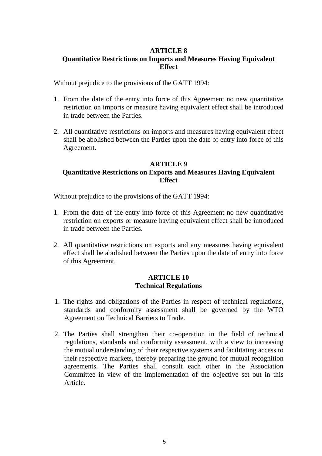## **ARTICLE 8 Quantitative Restrictions on Imports and Measures Having Equivalent Effect**

Without prejudice to the provisions of the GATT 1994:

- 1. From the date of the entry into force of this Agreement no new quantitative restriction on imports or measure having equivalent effect shall be introduced in trade between the Parties.
- 2. All quantitative restrictions on imports and measures having equivalent effect shall be abolished between the Parties upon the date of entry into force of this Agreement.

## **ARTICLE 9 Quantitative Restrictions on Exports and Measures Having Equivalent Effect**

Without prejudice to the provisions of the GATT 1994:

- 1. From the date of the entry into force of this Agreement no new quantitative restriction on exports or measure having equivalent effect shall be introduced in trade between the Parties.
- 2. All quantitative restrictions on exports and any measures having equivalent effect shall be abolished between the Parties upon the date of entry into force of this Agreement.

#### **ARTICLE 10 Technical Regulations**

- 1. The rights and obligations of the Parties in respect of technical regulations, standards and conformity assessment shall be governed by the WTO Agreement on Technical Barriers to Trade.
- 2. The Parties shall strengthen their co-operation in the field of technical regulations, standards and conformity assessment, with a view to increasing the mutual understanding of their respective systems and facilitating access to their respective markets, thereby preparing the ground for mutual recognition agreements. The Parties shall consult each other in the Association Committee in view of the implementation of the objective set out in this Article.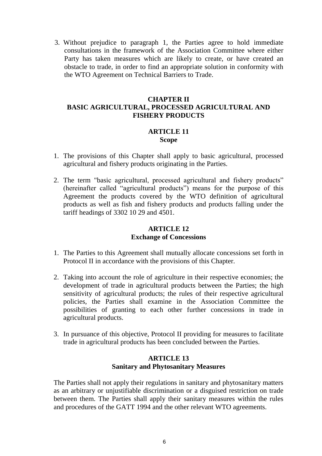3. Without prejudice to paragraph 1, the Parties agree to hold immediate consultations in the framework of the Association Committee where either Party has taken measures which are likely to create, or have created an obstacle to trade, in order to find an appropriate solution in conformity with the WTO Agreement on Technical Barriers to Trade.

## **CHAPTER II BASIC AGRICULTURAL, PROCESSED AGRICULTURAL AND FISHERY PRODUCTS**

#### **ARTICLE 11 Scope**

- 1. The provisions of this Chapter shall apply to basic agricultural, processed agricultural and fishery products originating in the Parties.
- 2. The term "basic agricultural, processed agricultural and fishery products" (hereinafter called "agricultural products") means for the purpose of this Agreement the products covered by the WTO definition of agricultural products as well as fish and fishery products and products falling under the tariff headings of 3302 10 29 and 4501.

## **ARTICLE 12 Exchange of Concessions**

- 1. The Parties to this Agreement shall mutually allocate concessions set forth in Protocol II in accordance with the provisions of this Chapter.
- 2. Taking into account the role of agriculture in their respective economies; the development of trade in agricultural products between the Parties; the high sensitivity of agricultural products; the rules of their respective agricultural policies, the Parties shall examine in the Association Committee the possibilities of granting to each other further concessions in trade in agricultural products.
- 3. In pursuance of this objective, Protocol II providing for measures to facilitate trade in agricultural products has been concluded between the Parties.

#### **ARTICLE 13 Sanitary and Phytosanitary Measures**

The Parties shall not apply their regulations in sanitary and phytosanitary matters as an arbitrary or unjustifiable discrimination or a disguised restriction on trade between them. The Parties shall apply their sanitary measures within the rules and procedures of the GATT 1994 and the other relevant WTO agreements.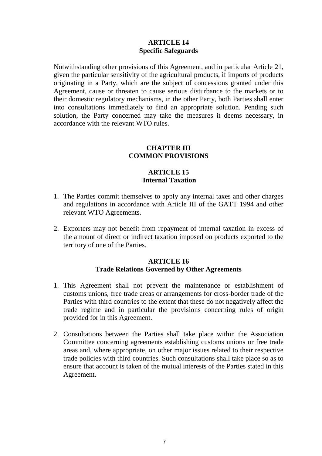#### **ARTICLE 14 Specific Safeguards**

Notwithstanding other provisions of this Agreement, and in particular Article 21, given the particular sensitivity of the agricultural products, if imports of products originating in a Party, which are the subject of concessions granted under this Agreement, cause or threaten to cause serious disturbance to the markets or to their domestic regulatory mechanisms, in the other Party, both Parties shall enter into consultations immediately to find an appropriate solution. Pending such solution, the Party concerned may take the measures it deems necessary, in accordance with the relevant WTO rules.

#### **CHAPTER III COMMON PROVISIONS**

### **ARTICLE 15 Internal Taxation**

- 1. The Parties commit themselves to apply any internal taxes and other charges and regulations in accordance with Article III of the GATT 1994 and other relevant WTO Agreements.
- 2. Exporters may not benefit from repayment of internal taxation in excess of the amount of direct or indirect taxation imposed on products exported to the territory of one of the Parties.

#### **ARTICLE 16 Trade Relations Governed by Other Agreements**

- 1. This Agreement shall not prevent the maintenance or establishment of customs unions, free trade areas or arrangements for cross-border trade of the Parties with third countries to the extent that these do not negatively affect the trade regime and in particular the provisions concerning rules of origin provided for in this Agreement.
- 2. Consultations between the Parties shall take place within the Association Committee concerning agreements establishing customs unions or free trade areas and, where appropriate, on other major issues related to their respective trade policies with third countries. Such consultations shall take place so as to ensure that account is taken of the mutual interests of the Parties stated in this Agreement.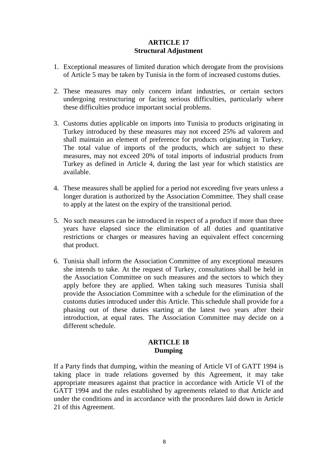### **ARTICLE 17 Structural Adjustment**

- 1. Exceptional measures of limited duration which derogate from the provisions of Article 5 may be taken by Tunisia in the form of increased customs duties.
- 2. These measures may only concern infant industries, or certain sectors undergoing restructuring or facing serious difficulties, particularly where these difficulties produce important social problems.
- 3. Customs duties applicable on imports into Tunisia to products originating in Turkey introduced by these measures may not exceed 25% ad valorem and shall maintain an element of preference for products originating in Turkey. The total value of imports of the products, which are subject to these measures, may not exceed 20% of total imports of industrial products from Turkey as defined in Article 4, during the last year for which statistics are available.
- 4. These measures shall be applied for a period not exceeding five years unless a longer duration is authorized by the Association Committee. They shall cease to apply at the latest on the expiry of the transitional period.
- 5. No such measures can be introduced in respect of a product if more than three years have elapsed since the elimination of all duties and quantitative restrictions or charges or measures having an equivalent effect concerning that product.
- 6. Tunisia shall inform the Association Committee of any exceptional measures she intends to take. At the request of Turkey, consultations shall be held in the Association Committee on such measures and the sectors to which they apply before they are applied. When taking such measures Tunisia shall provide the Association Committee with a schedule for the elimination of the customs duties introduced under this Article. This schedule shall provide for a phasing out of these duties starting at the latest two years after their introduction, at equal rates. The Association Committee may decide on a different schedule.

## **ARTICLE 18 Dumping**

If a Party finds that dumping, within the meaning of Article VI of GATT 1994 is taking place in trade relations governed by this Agreement, it may take appropriate measures against that practice in accordance with Article VI of the GATT 1994 and the rules established by agreements related to that Article and under the conditions and in accordance with the procedures laid down in Article 21 of this Agreement.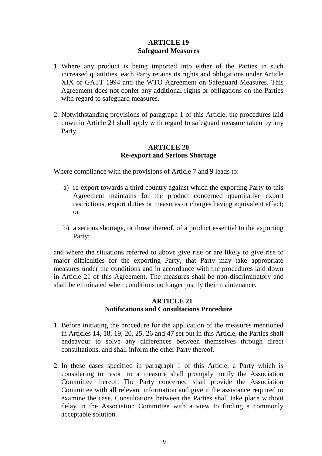#### **ARTICLE 19 Safeguard Measures**

- 1. Where any product is being imported into either of the Parties in such increased quantities, each Party retains its rights and obligations under Article XIX of GATT 1994 and the WTO Agreement on Safeguard Measures. This Agreement does not confer any additional rights or obligations on the Parties with regard to safeguard measures.
- 2. Notwithstanding provisions of paragraph 1 of this Article, the procedures laid down in Article 21 shall apply with regard to safeguard measure taken by any Party.

### **ARTICLE 20 Re-export and Serious Shortage**

Where compliance with the provisions of Article 7 and 9 leads to:

- a) re-export towards a third country against which the exporting Party to this Agreement maintains for the product concerned quantitative export restrictions, export duties or measures or charges having equivalent effect; or
- b) a serious shortage, or threat thereof, of a product essential to the exporting Party;

and where the situations referred to above give rise or are likely to give rise to major difficulties for the exporting Party, that Party may take appropriate measures under the conditions and in accordance with the procedures laid down in Article 21 of this Agreement. The measures shall be non-discriminatory and shall be eliminated when conditions no longer justify their maintenance.

## **ARTICLE 21 Notifications and Consultations Procedure**

- 1. Before initiating the procedure for the application of the measures mentioned in Articles 14, 18, 19, 20, 25, 26 and 47 set out in this Article, the Parties shall endeavour to solve any differences between themselves through direct consultations, and shall inform the other Party thereof.
- 2. In these cases specified in paragraph 1 of this Article, a Party which is considering to resort to a measure shall promptly notify the Association Committee thereof. The Party concerned shall provide the Association Committee with all relevant information and give it the assistance required to examine the case. Consultations between the Parties shall take place without delay in the Association Committee with a view to finding a commonly acceptable solution.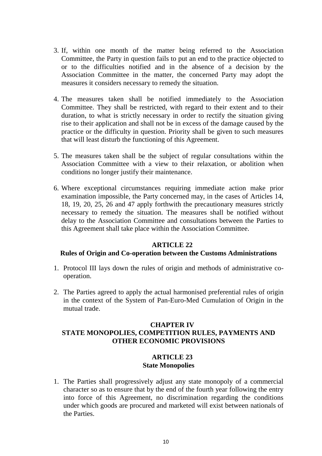- 3. If, within one month of the matter being referred to the Association Committee, the Party in question fails to put an end to the practice objected to or to the difficulties notified and in the absence of a decision by the Association Committee in the matter, the concerned Party may adopt the measures it considers necessary to remedy the situation.
- 4. The measures taken shall be notified immediately to the Association Committee. They shall be restricted, with regard to their extent and to their duration, to what is strictly necessary in order to rectify the situation giving rise to their application and shall not be in excess of the damage caused by the practice or the difficulty in question. Priority shall be given to such measures that will least disturb the functioning of this Agreement.
- 5. The measures taken shall be the subject of regular consultations within the Association Committee with a view to their relaxation, or abolition when conditions no longer justify their maintenance.
- 6. Where exceptional circumstances requiring immediate action make prior examination impossible, the Party concerned may, in the cases of Articles 14, 18, 19, 20, 25, 26 and 47 apply forthwith the precautionary measures strictly necessary to remedy the situation. The measures shall be notified without delay to the Association Committee and consultations between the Parties to this Agreement shall take place within the Association Committee.

#### **ARTICLE 22**

#### **Rules of Origin and Co-operation between the Customs Administrations**

- 1. Protocol III lays down the rules of origin and methods of administrative cooperation.
- 2. The Parties agreed to apply the actual harmonised preferential rules of origin in the context of the System of Pan-Euro-Med Cumulation of Origin in the mutual trade.

## **CHAPTER IV STATE MONOPOLIES, COMPETITION RULES, PAYMENTS AND OTHER ECONOMIC PROVISIONS**

#### **ARTICLE 23 State Monopolies**

1. The Parties shall progressively adjust any state monopoly of a commercial character so as to ensure that by the end of the fourth year following the entry into force of this Agreement, no discrimination regarding the conditions under which goods are procured and marketed will exist between nationals of the Parties.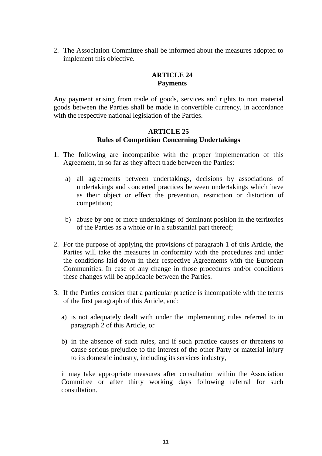2. The Association Committee shall be informed about the measures adopted to implement this objective.

#### **ARTICLE 24 Payments**

Any payment arising from trade of goods, services and rights to non material goods between the Parties shall be made in convertible currency, in accordance with the respective national legislation of the Parties.

## **ARTICLE 25 Rules of Competition Concerning Undertakings**

- 1. The following are incompatible with the proper implementation of this Agreement, in so far as they affect trade between the Parties:
	- a) all agreements between undertakings, decisions by associations of undertakings and concerted practices between undertakings which have as their object or effect the prevention, restriction or distortion of competition;
	- b) abuse by one or more undertakings of dominant position in the territories of the Parties as a whole or in a substantial part thereof;
- 2. For the purpose of applying the provisions of paragraph 1 of this Article, the Parties will take the measures in conformity with the procedures and under the conditions laid down in their respective Agreements with the European Communities. In case of any change in those procedures and/or conditions these changes will be applicable between the Parties.
- 3. If the Parties consider that a particular practice is incompatible with the terms of the first paragraph of this Article, and:
	- a) is not adequately dealt with under the implementing rules referred to in paragraph 2 of this Article, or
	- b) in the absence of such rules, and if such practice causes or threatens to cause serious prejudice to the interest of the other Party or material injury to its domestic industry, including its services industry,

it may take appropriate measures after consultation within the Association Committee or after thirty working days following referral for such consultation.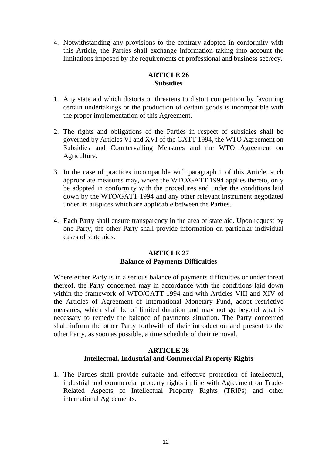4. Notwithstanding any provisions to the contrary adopted in conformity with this Article, the Parties shall exchange information taking into account the limitations imposed by the requirements of professional and business secrecy.

## **ARTICLE 26 Subsidies**

- 1. Any state aid which distorts or threatens to distort competition by favouring certain undertakings or the production of certain goods is incompatible with the proper implementation of this Agreement.
- 2. The rights and obligations of the Parties in respect of subsidies shall be governed by Articles VI and XVI of the GATT 1994, the WTO Agreement on Subsidies and Countervailing Measures and the WTO Agreement on Agriculture.
- 3. In the case of practices incompatible with paragraph 1 of this Article, such appropriate measures may, where the WTO/GATT 1994 applies thereto, only be adopted in conformity with the procedures and under the conditions laid down by the WTO/GATT 1994 and any other relevant instrument negotiated under its auspices which are applicable between the Parties.
- 4. Each Party shall ensure transparency in the area of state aid. Upon request by one Party, the other Party shall provide information on particular individual cases of state aids.

## **ARTICLE 27 Balance of Payments Difficulties**

Where either Party is in a serious balance of payments difficulties or under threat thereof, the Party concerned may in accordance with the conditions laid down within the framework of WTO/GATT 1994 and with Articles VIII and XIV of the Articles of Agreement of International Monetary Fund, adopt restrictive measures, which shall be of limited duration and may not go beyond what is necessary to remedy the balance of payments situation. The Party concerned shall inform the other Party forthwith of their introduction and present to the other Party, as soon as possible, a time schedule of their removal.

## **ARTICLE 28 Intellectual, Industrial and Commercial Property Rights**

1. The Parties shall provide suitable and effective protection of intellectual, industrial and commercial property rights in line with Agreement on Trade-Related Aspects of Intellectual Property Rights (TRIPs) and other international Agreements.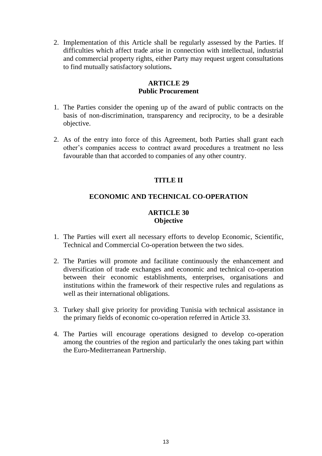2. Implementation of this Article shall be regularly assessed by the Parties. If difficulties which affect trade arise in connection with intellectual, industrial and commercial property rights, either Party may request urgent consultations to find mutually satisfactory solutions**.**

#### **ARTICLE 29 Public Procurement**

- 1. The Parties consider the opening up of the award of public contracts on the basis of non-discrimination, transparency and reciprocity, to be a desirable objective.
- 2. As of the entry into force of this Agreement, both Parties shall grant each other's companies access to contract award procedures a treatment no less favourable than that accorded to companies of any other country.

## **TITLE II**

## **ECONOMIC AND TECHNICAL CO-OPERATION**

## **ARTICLE 30 Objective**

- 1. The Parties will exert all necessary efforts to develop Economic, Scientific, Technical and Commercial Co-operation between the two sides.
- 2. The Parties will promote and facilitate continuously the enhancement and diversification of trade exchanges and economic and technical co-operation between their economic establishments, enterprises, organisations and institutions within the framework of their respective rules and regulations as well as their international obligations.
- 3. Turkey shall give priority for providing Tunisia with technical assistance in the primary fields of economic co-operation referred in Article 33.
- 4. The Parties will encourage operations designed to develop co-operation among the countries of the region and particularly the ones taking part within the Euro-Mediterranean Partnership.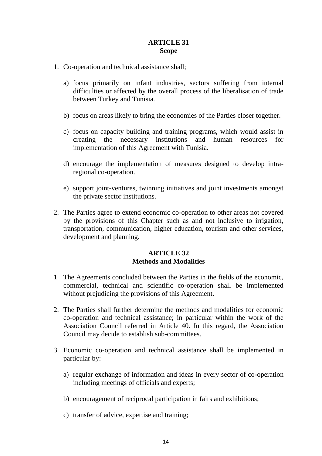### **ARTICLE 31 Scope**

- 1. Co-operation and technical assistance shall;
	- a) focus primarily on infant industries, sectors suffering from internal difficulties or affected by the overall process of the liberalisation of trade between Turkey and Tunisia.
	- b) focus on areas likely to bring the economies of the Parties closer together.
	- c) focus on capacity building and training programs, which would assist in creating the necessary institutions and human resources for implementation of this Agreement with Tunisia.
	- d) encourage the implementation of measures designed to develop intraregional co-operation.
	- e) support joint-ventures, twinning initiatives and joint investments amongst the private sector institutions.
- 2. The Parties agree to extend economic co-operation to other areas not covered by the provisions of this Chapter such as and not inclusive to irrigation, transportation, communication, higher education, tourism and other services, development and planning.

## **ARTICLE 32 Methods and Modalities**

- 1. The Agreements concluded between the Parties in the fields of the economic, commercial, technical and scientific co-operation shall be implemented without prejudicing the provisions of this Agreement.
- 2. The Parties shall further determine the methods and modalities for economic co-operation and technical assistance; in particular within the work of the Association Council referred in Article 40. In this regard, the Association Council may decide to establish sub-committees.
- 3. Economic co-operation and technical assistance shall be implemented in particular by:
	- a) regular exchange of information and ideas in every sector of co-operation including meetings of officials and experts;
	- b) encouragement of reciprocal participation in fairs and exhibitions;
	- c) transfer of advice, expertise and training;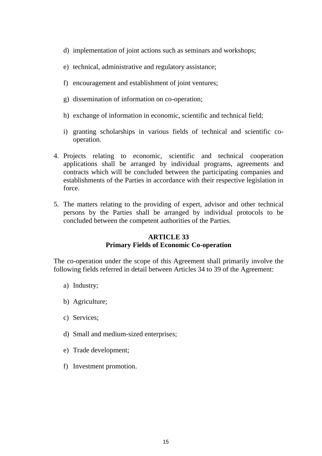- d) implementation of joint actions such as seminars and workshops;
- e) technical, administrative and regulatory assistance;
- f) encouragement and establishment of joint ventures;
- g) dissemination of information on co-operation;
- h) exchange of information in economic, scientific and technical field;
- i) granting scholarships in various fields of technical and scientific cooperation.
- 4. Projects relating to economic, scientific and technical cooperation applications shall be arranged by individual programs, agreements and contracts which will be concluded between the participating companies and establishments of the Parties in accordance with their respective legislation in force.
- 5. The matters relating to the providing of expert, advisor and other technical persons by the Parties shall be arranged by individual protocols to be concluded between the competent authorities of the Parties.

## **ARTICLE 33 Primary Fields of Economic Co-operation**

The co-operation under the scope of this Agreement shall primarily involve the following fields referred in detail between Articles 34 to 39 of the Agreement:

- a) Industry;
- b) Agriculture;
- c) Services;
- d) Small and medium-sized enterprises;
- e) Trade development;
- f) Investment promotion.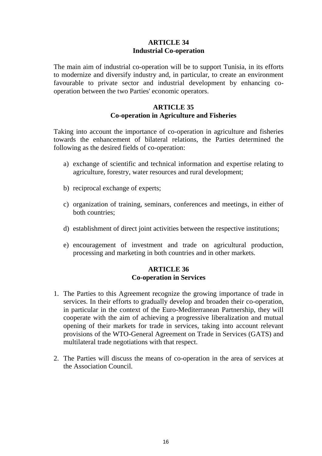#### **ARTICLE 34 Industrial Co-operation**

The main aim of industrial co-operation will be to support Tunisia, in its efforts to modernize and diversify industry and, in particular, to create an environment favourable to private sector and industrial development by enhancing cooperation between the two Parties' economic operators.

#### **ARTICLE 35 Co-operation in Agriculture and Fisheries**

Taking into account the importance of co-operation in agriculture and fisheries towards the enhancement of bilateral relations, the Parties determined the following as the desired fields of co-operation:

- a) exchange of scientific and technical information and expertise relating to agriculture, forestry, water resources and rural development;
- b) reciprocal exchange of experts;
- c) organization of training, seminars, conferences and meetings, in either of both countries;
- d) establishment of direct joint activities between the respective institutions;
- e) encouragement of investment and trade on agricultural production, processing and marketing in both countries and in other markets.

#### **ARTICLE 36 Co-operation in Services**

- 1. The Parties to this Agreement recognize the growing importance of trade in services. In their efforts to gradually develop and broaden their co-operation, in particular in the context of the Euro-Mediterranean Partnership, they will cooperate with the aim of achieving a progressive liberalization and mutual opening of their markets for trade in services, taking into account relevant provisions of the WTO-General Agreement on Trade in Services (GATS) and multilateral trade negotiations with that respect.
- 2. The Parties will discuss the means of co-operation in the area of services at the Association Council.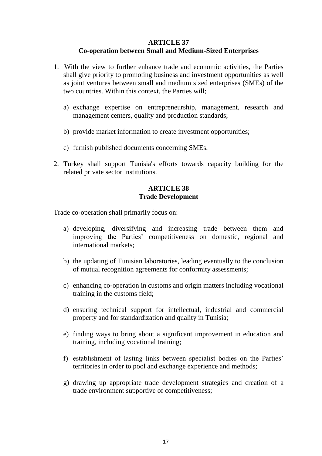## **ARTICLE 37**

## **Co-operation between Small and Medium-Sized Enterprises**

- 1. With the view to further enhance trade and economic activities, the Parties shall give priority to promoting business and investment opportunities as well as joint ventures between small and medium sized enterprises (SMEs) of the two countries. Within this context, the Parties will;
	- a) exchange expertise on entrepreneurship, management, research and management centers, quality and production standards;
	- b) provide market information to create investment opportunities;
	- c) furnish published documents concerning SMEs.
- 2. Turkey shall support Tunisia's efforts towards capacity building for the related private sector institutions.

## **ARTICLE 38 Trade Development**

Trade co-operation shall primarily focus on:

- a) developing, diversifying and increasing trade between them and improving the Parties' competitiveness on domestic, regional and international markets;
- b) the updating of Tunisian laboratories, leading eventually to the conclusion of mutual recognition agreements for conformity assessments;
- c) enhancing co-operation in customs and origin matters including vocational training in the customs field;
- d) ensuring technical support for intellectual, industrial and commercial property and for standardization and quality in Tunisia;
- e) finding ways to bring about a significant improvement in education and training, including vocational training;
- f) establishment of lasting links between specialist bodies on the Parties' territories in order to pool and exchange experience and methods;
- g) drawing up appropriate trade development strategies and creation of a trade environment supportive of competitiveness;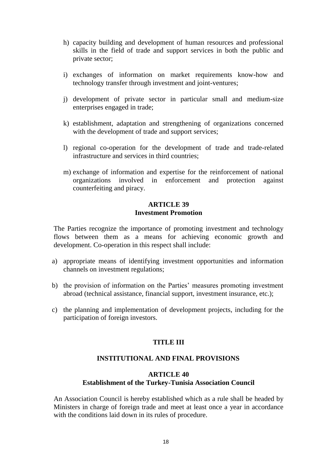- h) capacity building and development of human resources and professional skills in the field of trade and support services in both the public and private sector;
- i) exchanges of information on market requirements know-how and technology transfer through investment and joint-ventures;
- j) development of private sector in particular small and medium-size enterprises engaged in trade;
- k) establishment, adaptation and strengthening of organizations concerned with the development of trade and support services;
- l) regional co-operation for the development of trade and trade-related infrastructure and services in third countries;
- m) exchange of information and expertise for the reinforcement of national organizations involved in enforcement and protection against counterfeiting and piracy.

#### **ARTICLE 39 Investment Promotion**

The Parties recognize the importance of promoting investment and technology flows between them as a means for achieving economic growth and development. Co-operation in this respect shall include:

- a) appropriate means of identifying investment opportunities and information channels on investment regulations;
- b) the provision of information on the Parties' measures promoting investment abroad (technical assistance, financial support, investment insurance, etc.);
- c) the planning and implementation of development projects, including for the participation of foreign investors.

## **TITLE III**

## **INSTITUTIONAL AND FINAL PROVISIONS**

#### **ARTICLE 40**

#### **Establishment of the Turkey-Tunisia Association Council**

An Association Council is hereby established which as a rule shall be headed by Ministers in charge of foreign trade and meet at least once a year in accordance with the conditions laid down in its rules of procedure.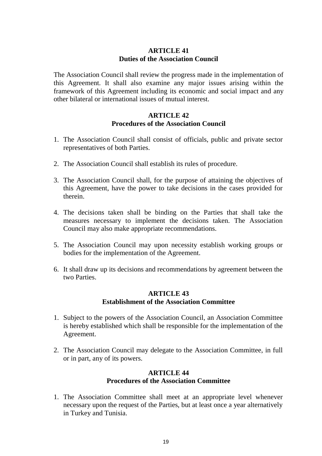## **ARTICLE 41 Duties of the Association Council**

The Association Council shall review the progress made in the implementation of this Agreement. It shall also examine any major issues arising within the framework of this Agreement including its economic and social impact and any other bilateral or international issues of mutual interest.

#### **ARTICLE 42 Procedures of the Association Council**

- 1. The Association Council shall consist of officials, public and private sector representatives of both Parties.
- 2. The Association Council shall establish its rules of procedure.
- 3. The Association Council shall, for the purpose of attaining the objectives of this Agreement, have the power to take decisions in the cases provided for therein.
- 4. The decisions taken shall be binding on the Parties that shall take the measures necessary to implement the decisions taken. The Association Council may also make appropriate recommendations.
- 5. The Association Council may upon necessity establish working groups or bodies for the implementation of the Agreement.
- 6. It shall draw up its decisions and recommendations by agreement between the two Parties.

## **ARTICLE 43 Establishment of the Association Committee**

- 1. Subject to the powers of the Association Council, an Association Committee is hereby established which shall be responsible for the implementation of the Agreement.
- 2. The Association Council may delegate to the Association Committee, in full or in part, any of its powers.

#### **ARTICLE 44 Procedures of the Association Committee**

1. The Association Committee shall meet at an appropriate level whenever necessary upon the request of the Parties, but at least once a year alternatively in Turkey and Tunisia.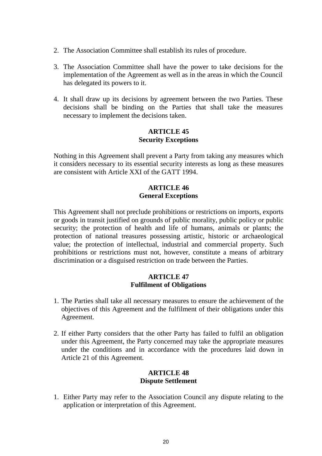- 2. The Association Committee shall establish its rules of procedure.
- 3. The Association Committee shall have the power to take decisions for the implementation of the Agreement as well as in the areas in which the Council has delegated its powers to it.
- 4. It shall draw up its decisions by agreement between the two Parties. These decisions shall be binding on the Parties that shall take the measures necessary to implement the decisions taken.

#### **ARTICLE 45 Security Exceptions**

Nothing in this Agreement shall prevent a Party from taking any measures which it considers necessary to its essential security interests as long as these measures are consistent with Article XXI of the GATT 1994.

## **ARTICLE 46 General Exceptions**

This Agreement shall not preclude prohibitions or restrictions on imports, exports or goods in transit justified on grounds of public morality, public policy or public security; the protection of health and life of humans, animals or plants; the protection of national treasures possessing artistic, historic or archaeological value; the protection of intellectual, industrial and commercial property. Such prohibitions or restrictions must not, however, constitute a means of arbitrary discrimination or a disguised restriction on trade between the Parties.

#### **ARTICLE 47 Fulfilment of Obligations**

- 1. The Parties shall take all necessary measures to ensure the achievement of the objectives of this Agreement and the fulfilment of their obligations under this Agreement.
- 2. If either Party considers that the other Party has failed to fulfil an obligation under this Agreement, the Party concerned may take the appropriate measures under the conditions and in accordance with the procedures laid down in Article 21 of this Agreement.

#### **ARTICLE 48 Dispute Settlement**

1. Either Party may refer to the Association Council any dispute relating to the application or interpretation of this Agreement.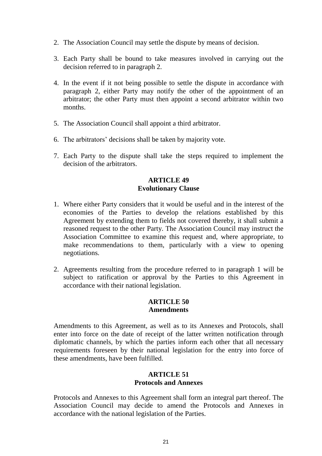- 2. The Association Council may settle the dispute by means of decision.
- 3. Each Party shall be bound to take measures involved in carrying out the decision referred to in paragraph 2.
- 4. In the event if it not being possible to settle the dispute in accordance with paragraph 2, either Party may notify the other of the appointment of an arbitrator; the other Party must then appoint a second arbitrator within two months.
- 5. The Association Council shall appoint a third arbitrator.
- 6. The arbitrators' decisions shall be taken by majority vote.
- 7. Each Party to the dispute shall take the steps required to implement the decision of the arbitrators.

### **ARTICLE 49 Evolutionary Clause**

- 1. Where either Party considers that it would be useful and in the interest of the economies of the Parties to develop the relations established by this Agreement by extending them to fields not covered thereby, it shall submit a reasoned request to the other Party. The Association Council may instruct the Association Committee to examine this request and, where appropriate, to make recommendations to them, particularly with a view to opening negotiations.
- 2. Agreements resulting from the procedure referred to in paragraph 1 will be subject to ratification or approval by the Parties to this Agreement in accordance with their national legislation.

#### **ARTICLE 50 Amendments**

Amendments to this Agreement, as well as to its Annexes and Protocols, shall enter into force on the date of receipt of the latter written notification through diplomatic channels, by which the parties inform each other that all necessary requirements foreseen by their national legislation for the entry into force of these amendments, have been fulfilled.

## **ARTICLE 51 Protocols and Annexes**

Protocols and Annexes to this Agreement shall form an integral part thereof. The Association Council may decide to amend the Protocols and Annexes in accordance with the national legislation of the Parties.